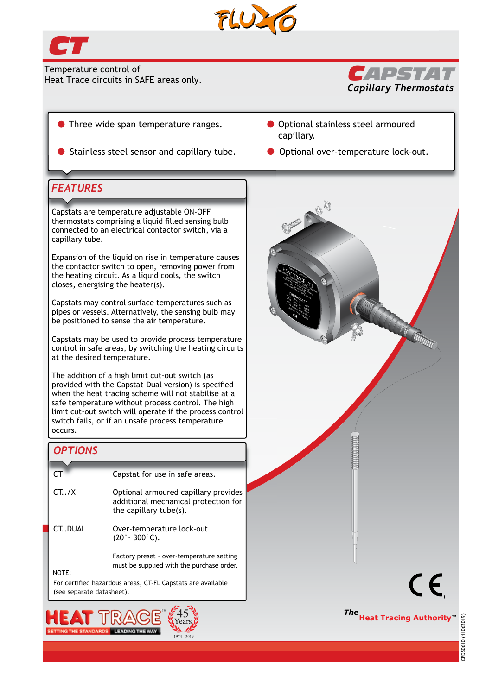

 $1974 - 2019$